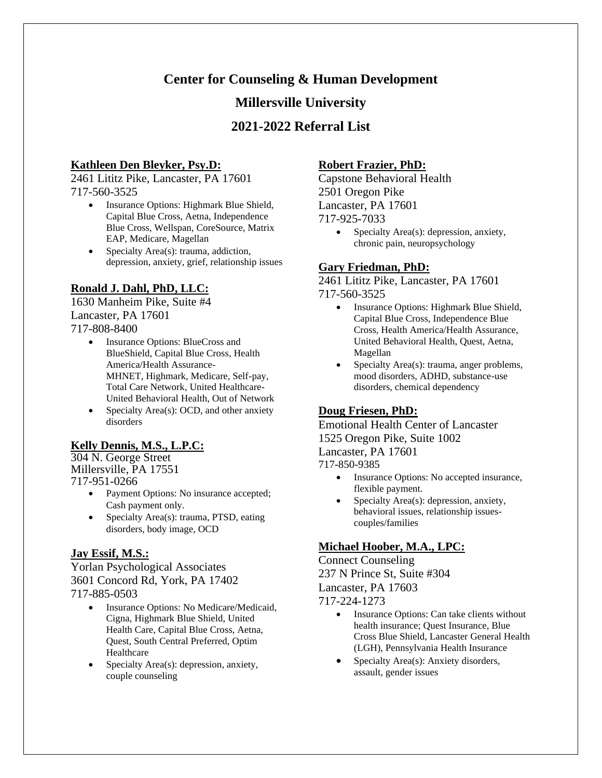# **Center for Counseling & Human Development**

## **Millersville University**

# **2021-2022 Referral List**

#### **Kathleen Den Bleyker, Psy.D:**

2461 Lititz Pike, Lancaster, PA 17601 717-560-3525

- Insurance Options: Highmark Blue Shield, Capital Blue Cross, Aetna, Independence Blue Cross, Wellspan, CoreSource, Matrix EAP, Medicare, Magellan
- Specialty Area(s): trauma, addiction, depression, anxiety, grief, relationship issues

### **Ronald J. Dahl, PhD, LLC:**

1630 Manheim Pike, Suite #4 Lancaster, PA 17601 717-808-8400

- - Insurance Options: BlueCross and BlueShield, Capital Blue Cross, Health America/Health Assurance-MHNET, Highmark, Medicare, Self-pay, Total Care Network, United Healthcare-United Behavioral Health, Out of Network
	- Specialty Area(s): OCD, and other anxiety disorders

#### **Kelly Dennis, M.S., L.P.C:**

304 N. George Street Millersville, PA 17551 717-951-0266

- Payment Options: No insurance accepted; Cash payment only.
- Specialty Area(s): trauma, PTSD, eating disorders, body image, OCD

#### **Jay Essif, M.S.:**

Yorlan Psychological Associates 3601 Concord Rd, York, PA 17402 717-885-0503

- Insurance Options: No Medicare/Medicaid, Cigna, Highmark Blue Shield, United Health Care, Capital Blue Cross, Aetna, Quest, South Central Preferred, Optim Healthcare
- Specialty Area(s): depression, anxiety, couple counseling

#### **Robert Frazier, PhD:**

Capstone Behavioral Health 2501 Oregon Pike Lancaster, PA 17601 717-925-7033

> • Specialty Area(s): depression, anxiety, chronic pain, neuropsychology

#### **Gary Friedman, PhD:**

2461 Lititz Pike, Lancaster, PA 17601 717-560-3525

- Insurance Options: Highmark Blue Shield, Capital Blue Cross, Independence Blue Cross, Health America/Health Assurance, United Behavioral Health, Quest, Aetna, Magellan
- Specialty Area(s): trauma, anger problems, mood disorders, ADHD, substance-use disorders, chemical dependency

#### **Doug Friesen, PhD:**

Emotional Health Center of Lancaster 1525 Oregon Pike, Suite 1002 Lancaster, PA 17601 717-850-9385

- Insurance Options: No accepted insurance, flexible payment.
- Specialty Area(s): depression, anxiety, behavioral issues, relationship issuescouples/families

#### **Michael Hoober, M.A., LPC:**

Connect Counseling 237 N Prince St, Suite #304 Lancaster, PA 17603 717-224-1273

- Insurance Options: Can take clients without health insurance; Quest Insurance, Blue Cross Blue Shield, Lancaster General Health (LGH), Pennsylvania Health Insurance
- Specialty Area(s): Anxiety disorders, assault, gender issues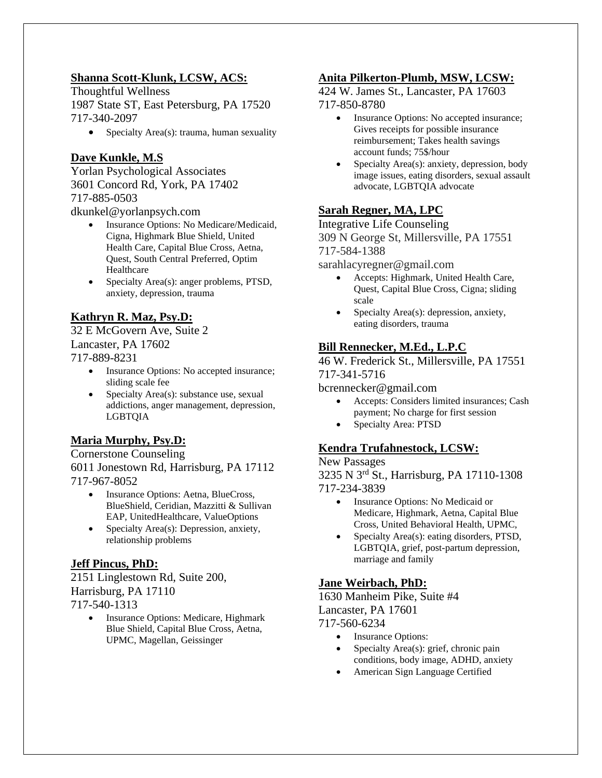### **Shanna Scott-Klunk, LCSW, ACS:**

Thoughtful Wellness 1987 State ST, East Petersburg, PA 17520 717-340-2097

• Specialty Area(s): trauma, human sexuality

### **Dave Kunkle, M.S**

Yorlan Psychological Associates 3601 Concord Rd, York, PA 17402 717-885-0503

dkunkel@yorlanpsych.com

- Insurance Options: No Medicare/Medicaid, Cigna, Highmark Blue Shield, United Health Care, Capital Blue Cross, Aetna, Quest, South Central Preferred, Optim Healthcare
- Specialty Area(s): anger problems, PTSD, anxiety, depression, trauma

# **Kathryn R. Maz, Psy.D:**

32 E McGovern Ave, Suite 2 Lancaster, PA 17602 717-889-8231

- Insurance Options: No accepted insurance; sliding scale fee
- Specialty Area(s): substance use, sexual addictions, anger management, depression, LGBTQIA

# **Maria Murphy, Psy.D:**

Cornerstone Counseling 6011 Jonestown Rd, Harrisburg, PA 17112 717-967-8052

- Insurance Options: Aetna, BlueCross, BlueShield, Ceridian, Mazzitti & Sullivan EAP, UnitedHealthcare, ValueOptions
- Specialty Area(s): Depression, anxiety, relationship problems

### **Jeff Pincus, PhD:**

2151 Linglestown Rd, Suite 200, Harrisburg, PA 17110 717-540-1313

> • Insurance Options: Medicare, Highmark Blue Shield, Capital Blue Cross, Aetna, UPMC, Magellan, Geissinger

# **Anita Pilkerton-Plumb, MSW, LCSW:**

424 W. James St., Lancaster, PA 17603 717-850-8780

- Insurance Options: No accepted insurance; Gives receipts for possible insurance reimbursement; Takes health savings account funds; 75\$/hour
- Specialty Area(s): anxiety, depression, body image issues, eating disorders, sexual assault advocate, LGBTQIA advocate

# **Sarah Regner, MA, LPC**

Integrative Life Counseling 309 N George St, Millersville, PA 17551 717-584-1388

sarahlacyregner@gmail.com

- Accepts: Highmark, United Health Care, Quest, Capital Blue Cross, Cigna; sliding scale
- Specialty Area(s): depression, anxiety, eating disorders, trauma

### **Bill Rennecker, M.Ed., L.P.C**

46 W. Frederick St., Millersville, PA 17551 717-341-5716

#### bcrennecker@gmail.com

- Accepts: Considers limited insurances; Cash payment; No charge for first session
- Specialty Area: PTSD

### **Kendra Trufahnestock, LCSW:**

#### New Passages

3235 N 3rd St., Harrisburg, PA 17110-1308 717-234-3839

- Insurance Options: No Medicaid or Medicare, Highmark, Aetna, Capital Blue Cross, United Behavioral Health, UPMC,
- Specialty Area(s): eating disorders, PTSD, LGBTQIA, grief, post-partum depression, marriage and family

### **Jane Weirbach, PhD:**

1630 Manheim Pike, Suite #4 Lancaster, PA 17601 717-560-6234

- Insurance Options:
- Specialty Area(s): grief, chronic pain conditions, body image, ADHD, anxiety
- American Sign Language Certified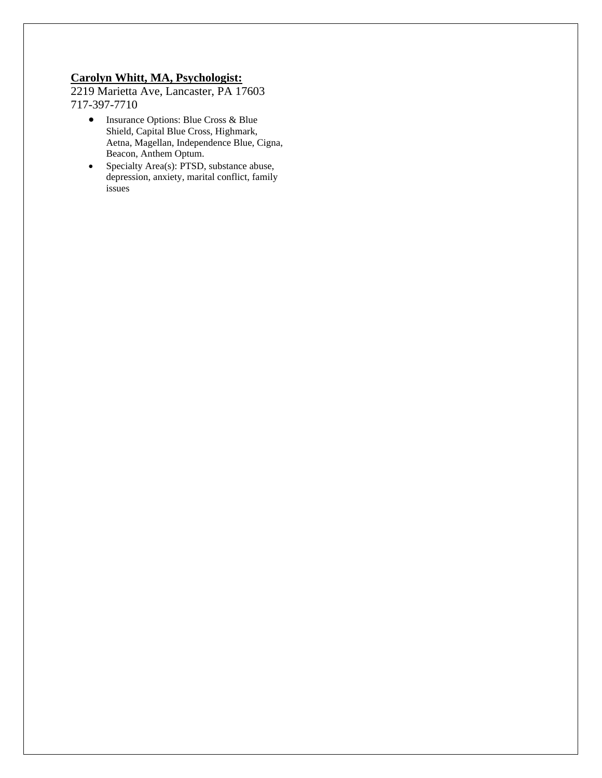#### **Carolyn Whitt, MA, Psychologist:**

2219 Marietta Ave, Lancaster, PA 17603 717-397-7710

- Insurance Options: Blue Cross & Blue Shield, Capital Blue Cross, Highmark, Aetna, Magellan, Independence Blue, Cigna, Beacon, Anthem Optum.
- Specialty Area(s): PTSD, substance abuse, depression, anxiety, marital conflict, family issues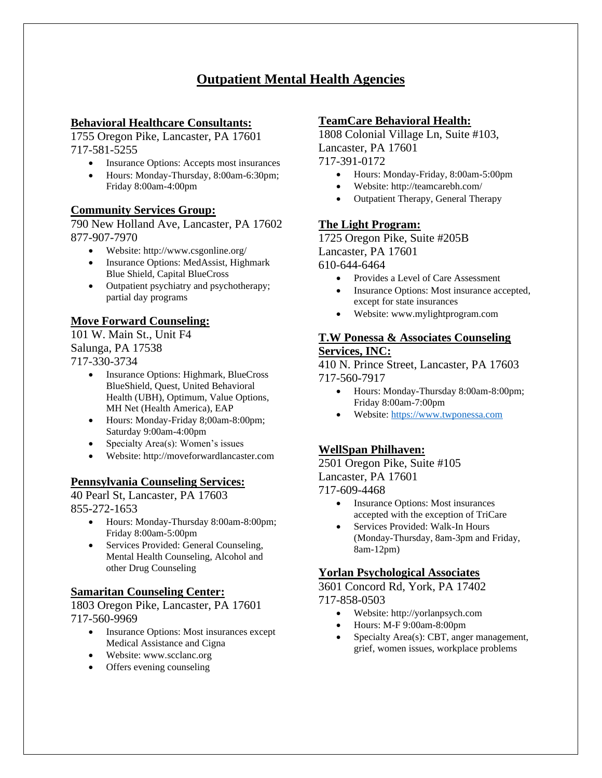# **Outpatient Mental Health Agencies**

### **Behavioral Healthcare Consultants:**

1755 Oregon Pike, Lancaster, PA 17601 717-581-5255

- Insurance Options: Accepts most insurances
- Hours: Monday-Thursday, 8:00am-6:30pm; Friday 8:00am-4:00pm

### **Community Services Group:**

790 New Holland Ave, Lancaster, PA 17602 877-907-7970

- Website: http://www.csgonline.org/
- Insurance Options: MedAssist, Highmark Blue Shield, Capital BlueCross
- Outpatient psychiatry and psychotherapy; partial day programs

### **Move Forward Counseling:**

101 W. Main St., Unit F4 Salunga, PA 17538 717-330-3734

- Insurance Options: Highmark, BlueCross BlueShield, Quest, United Behavioral Health (UBH), Optimum, Value Options, MH Net (Health America), EAP
- Hours: Monday-Friday 8;00am-8:00pm; Saturday 9:00am-4:00pm
- Specialty Area(s): Women's issues
- Website: http://moveforwardlancaster.com

### **Pennsylvania Counseling Services:**

40 Pearl St, Lancaster, PA 17603 855-272-1653

- Hours: Monday-Thursday 8:00am-8:00pm; Friday 8:00am-5:00pm
- Services Provided: General Counseling, Mental Health Counseling, Alcohol and other Drug Counseling

### **Samaritan Counseling Center:**

1803 Oregon Pike, Lancaster, PA 17601 717-560-9969

- Insurance Options: Most insurances except Medical Assistance and Cigna
- Website: www.scclanc.org
- Offers evening counseling

### **TeamCare Behavioral Health:**

1808 Colonial Village Ln, Suite #103, Lancaster, PA 17601

717-391-0172

- Hours: Monday-Friday, 8:00am-5:00pm
- Website: http://teamcarebh.com/
- Outpatient Therapy, General Therapy

### **The Light Program:**

1725 Oregon Pike, Suite #205B Lancaster, PA 17601 610-644-6464

- Provides a Level of Care Assessment
- Insurance Options: Most insurance accepted, except for state insurances
- Website: www.mylightprogram.com

#### **T.W Ponessa & Associates Counseling Services, INC:**

410 N. Prince Street, Lancaster, PA 17603 717-560-7917

- Hours: Monday-Thursday 8:00am-8:00pm; Friday 8:00am-7:00pm
- Website: [https://www.twponessa.com](https://www.twponessa.com/)

### **WellSpan Philhaven:**

2501 Oregon Pike, Suite #105 Lancaster, PA 17601

717-609-4468

- Insurance Options: Most insurances accepted with the exception of TriCare
- Services Provided: Walk-In Hours (Monday-Thursday, 8am-3pm and Friday, 8am-12pm)

### **Yorlan Psychological Associates**

3601 Concord Rd, York, PA 17402 717-858-0503

- Website: http://yorlanpsych.com
- Hours: M-F 9:00am-8:00pm
- Specialty Area(s): CBT, anger management, grief, women issues, workplace problems